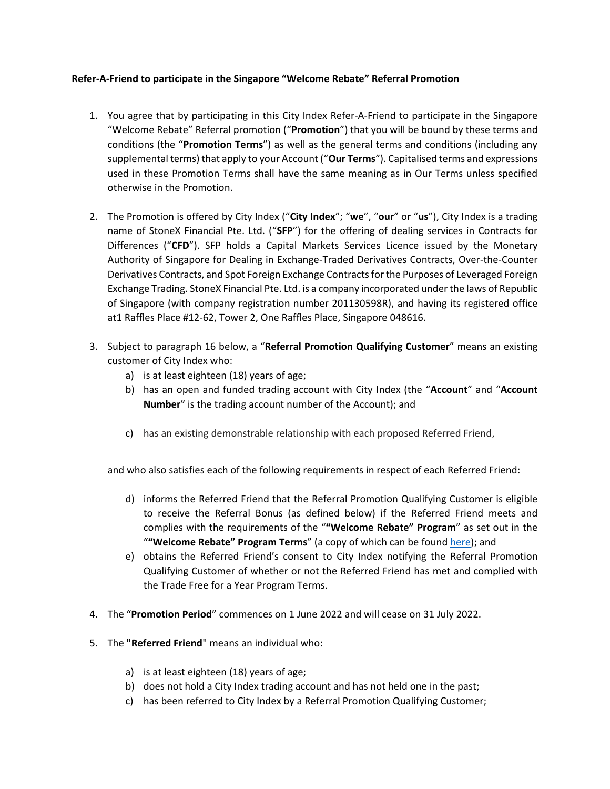## **Refer-A-Friend to participate in the Singapore "Welcome Rebate" Referral Promotion**

- 1. You agree that by participating in this City Index Refer-A-Friend to participate in the Singapore "Welcome Rebate" Referral promotion ("**Promotion**") that you will be bound by these terms and conditions (the "**Promotion Terms**") as well as the general terms and conditions (including any supplemental terms) that apply to your Account ("**Our Terms**"). Capitalised terms and expressions used in these Promotion Terms shall have the same meaning as in Our Terms unless specified otherwise in the Promotion.
- 2. The Promotion is offered by City Index ("**City Index**"; "**we**", "**our**" or "**us**"), City Index is a trading name of StoneX Financial Pte. Ltd. ("**SFP**") for the offering of dealing services in Contracts for Differences ("**CFD**"). SFP holds a Capital Markets Services Licence issued by the Monetary Authority of Singapore for Dealing in Exchange-Traded Derivatives Contracts, Over-the-Counter Derivatives Contracts, and Spot Foreign Exchange Contracts for the Purposes of Leveraged Foreign Exchange Trading. StoneX Financial Pte. Ltd. is a company incorporated under the laws of Republic of Singapore (with company registration number 201130598R), and having its registered office at1 Raffles Place #12-62, Tower 2, One Raffles Place, Singapore 048616.
- 3. Subject to paragraph [16](#page-2-0) below, a "**Referral Promotion Qualifying Customer**" means an existing customer of City Index who:
	- a) is at least eighteen (18) years of age;
	- b) has an open and funded trading account with City Index (the "**Account**" and "**Account Number**" is the trading account number of the Account); and
	- c) has an existing demonstrable relationship with each proposed Referred Friend,

and who also satisfies each of the following requirements in respect of each Referred Friend:

- d) informs the Referred Friend that the Referral Promotion Qualifying Customer is eligible to receive the Referral Bonus (as defined below) if the Referred Friend meets and complies with the requirements of the "**"Welcome Rebate" Program**" as set out in the "**"Welcome Rebate" Program Terms**" (a copy of which can be found [here\)](https://www.cityindex.com/en-sg/terms-and-policies/welcome-rebate-terms/); and
- e) obtains the Referred Friend's consent to City Index notifying the Referral Promotion Qualifying Customer of whether or not the Referred Friend has met and complied with the Trade Free for a Year Program Terms.
- 4. The "**Promotion Period**" commences on 1 June 2022 and will cease on 31 July 2022.
- 5. The **"Referred Friend**" means an individual who:
	- a) is at least eighteen (18) years of age;
	- b) does not hold a City Index trading account and has not held one in the past;
	- c) has been referred to City Index by a Referral Promotion Qualifying Customer;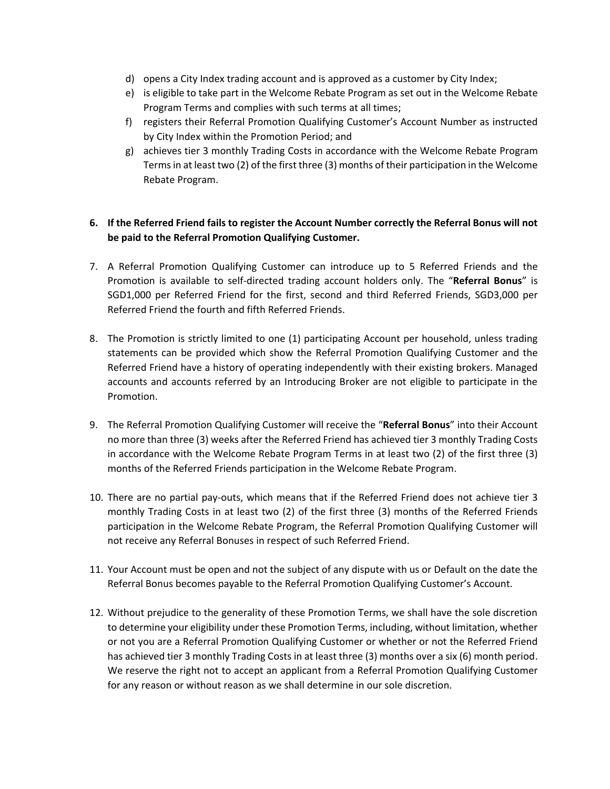- d) opens a City Index trading account and is approved as a customer by City Index;
- e) is eligible to take part in the Welcome Rebate Program as set out in the Welcome Rebate Program Terms and complies with such terms at all times;
- f) registers their Referral Promotion Qualifying Customer's Account Number as instructed by City Index within the Promotion Period; and
- g) achieves tier 3 monthly Trading Costs in accordance with the Welcome Rebate Program Termsin at least two (2) of the first three (3) months of their participation in the Welcome Rebate Program.

## **6. If the Referred Friend fails to register the Account Number correctly the Referral Bonus will not be paid to the Referral Promotion Qualifying Customer.**

- 7. A Referral Promotion Qualifying Customer can introduce up to 5 Referred Friends and the Promotion is available to self-directed trading account holders only. The "**Referral Bonus**" is SGD1,000 per Referred Friend for the first, second and third Referred Friends, SGD3,000 per Referred Friend the fourth and fifth Referred Friends.
- 8. The Promotion is strictly limited to one (1) participating Account per household, unless trading statements can be provided which show the Referral Promotion Qualifying Customer and the Referred Friend have a history of operating independently with their existing brokers. Managed accounts and accounts referred by an Introducing Broker are not eligible to participate in the Promotion.
- 9. The Referral Promotion Qualifying Customer will receive the "**Referral Bonus**" into their Account no more than three (3) weeks after the Referred Friend has achieved tier 3 monthly Trading Costs in accordance with the Welcome Rebate Program Terms in at least two (2) of the first three (3) months of the Referred Friends participation in the Welcome Rebate Program.
- 10. There are no partial pay-outs, which means that if the Referred Friend does not achieve tier 3 monthly Trading Costs in at least two (2) of the first three (3) months of the Referred Friends participation in the Welcome Rebate Program, the Referral Promotion Qualifying Customer will not receive any Referral Bonuses in respect of such Referred Friend.
- 11. Your Account must be open and not the subject of any dispute with us or Default on the date the Referral Bonus becomes payable to the Referral Promotion Qualifying Customer's Account.
- 12. Without prejudice to the generality of these Promotion Terms, we shall have the sole discretion to determine your eligibility under these Promotion Terms, including, without limitation, whether or not you are a Referral Promotion Qualifying Customer or whether or not the Referred Friend has achieved tier 3 monthly Trading Costs in at least three (3) months over a six (6) month period. We reserve the right not to accept an applicant from a Referral Promotion Qualifying Customer for any reason or without reason as we shall determine in our sole discretion.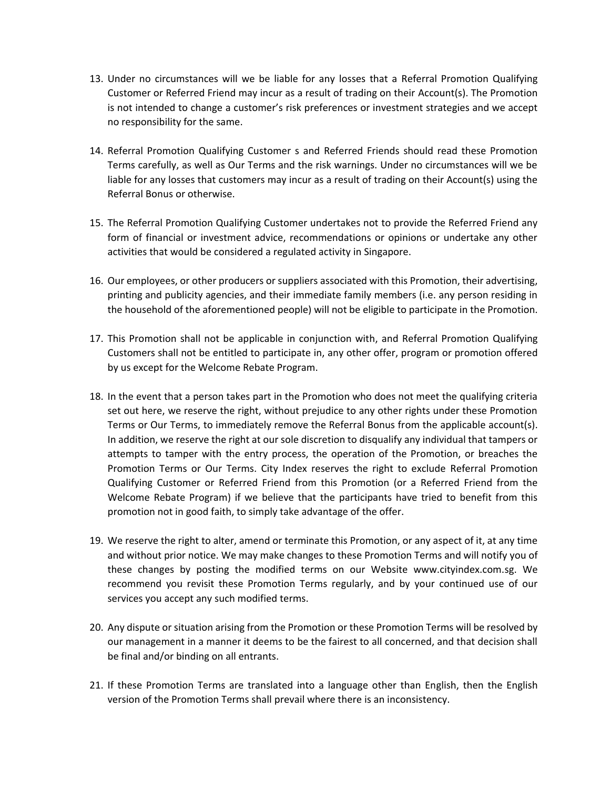- 13. Under no circumstances will we be liable for any losses that a Referral Promotion Qualifying Customer or Referred Friend may incur as a result of trading on their Account(s). The Promotion is not intended to change a customer's risk preferences or investment strategies and we accept no responsibility for the same.
- 14. Referral Promotion Qualifying Customer s and Referred Friends should read these Promotion Terms carefully, as well as Our Terms and the risk warnings. Under no circumstances will we be liable for any losses that customers may incur as a result of trading on their Account(s) using the Referral Bonus or otherwise.
- 15. The Referral Promotion Qualifying Customer undertakes not to provide the Referred Friend any form of financial or investment advice, recommendations or opinions or undertake any other activities that would be considered a regulated activity in Singapore.
- <span id="page-2-0"></span>16. Our employees, or other producers or suppliers associated with this Promotion, their advertising, printing and publicity agencies, and their immediate family members (i.e. any person residing in the household of the aforementioned people) will not be eligible to participate in the Promotion.
- 17. This Promotion shall not be applicable in conjunction with, and Referral Promotion Qualifying Customers shall not be entitled to participate in, any other offer, program or promotion offered by us except for the Welcome Rebate Program.
- 18. In the event that a person takes part in the Promotion who does not meet the qualifying criteria set out here, we reserve the right, without prejudice to any other rights under these Promotion Terms or Our Terms, to immediately remove the Referral Bonus from the applicable account(s). In addition, we reserve the right at our sole discretion to disqualify any individual that tampers or attempts to tamper with the entry process, the operation of the Promotion, or breaches the Promotion Terms or Our Terms. City Index reserves the right to exclude Referral Promotion Qualifying Customer or Referred Friend from this Promotion (or a Referred Friend from the Welcome Rebate Program) if we believe that the participants have tried to benefit from this promotion not in good faith, to simply take advantage of the offer.
- 19. We reserve the right to alter, amend or terminate this Promotion, or any aspect of it, at any time and without prior notice. We may make changes to these Promotion Terms and will notify you of these changes by posting the modified terms on our Website www.cityindex.com.sg. We recommend you revisit these Promotion Terms regularly, and by your continued use of our services you accept any such modified terms.
- 20. Any dispute or situation arising from the Promotion or these Promotion Terms will be resolved by our management in a manner it deems to be the fairest to all concerned, and that decision shall be final and/or binding on all entrants.
- 21. If these Promotion Terms are translated into a language other than English, then the English version of the Promotion Terms shall prevail where there is an inconsistency.